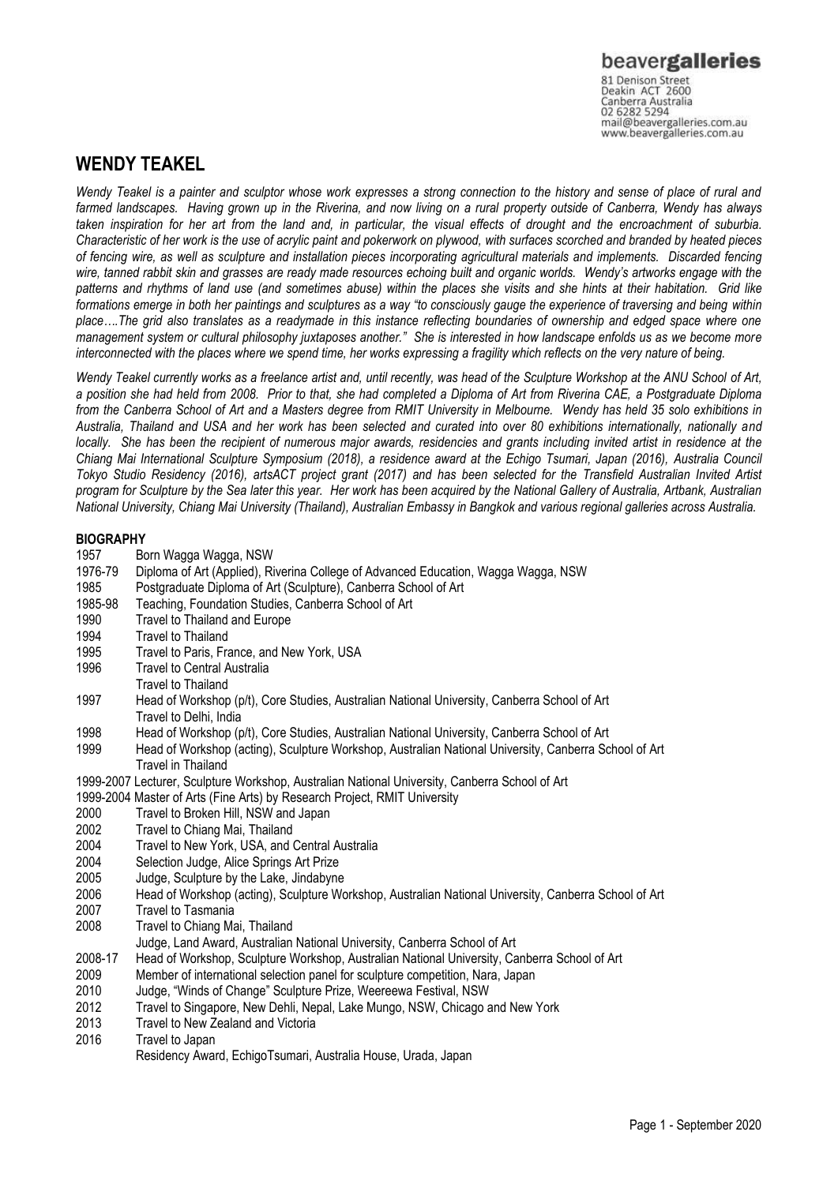# **WENDY TEAKEL**

*Wendy Teakel is a painter and sculptor whose work expresses a strong connection to the history and sense of place of rural and farmed landscapes. Having grown up in the Riverina, and now living on a rural property outside of Canberra, Wendy has always taken inspiration for her art from the land and, in particular, the visual effects of drought and the encroachment of suburbia. Characteristic of her work is the use of acrylic paint and pokerwork on plywood, with surfaces scorched and branded by heated pieces of fencing wire, as well as sculpture and installation pieces incorporating agricultural materials and implements. Discarded fencing wire, tanned rabbit skin and grasses are ready made resources echoing built and organic worlds. Wendy's artworks engage with the patterns and rhythms of land use (and sometimes abuse) within the places she visits and she hints at their habitation. Grid like formations emerge in both her paintings and sculptures as a way "to consciously gauge the experience of traversing and being within place….The grid also translates as a readymade in this instance reflecting boundaries of ownership and edged space where one management system or cultural philosophy juxtaposes another." She is interested in how landscape enfolds us as we become more interconnected with the places where we spend time, her works expressing a fragility which reflects on the very nature of being.*

*Wendy Teakel currently works as a freelance artist and, until recently, was head of the Sculpture Workshop at the ANU School of Art, a position she had held from 2008. Prior to that, she had completed a Diploma of Art from Riverina CAE, a Postgraduate Diploma from the Canberra School of Art and a Masters degree from RMIT University in Melbourne. Wendy has held 35 solo exhibitions in Australia, Thailand and USA and her work has been selected and curated into over 80 exhibitions internationally, nationally and locally.* She has been the recipient of numerous major awards, residencies and grants including invited artist in residence at the *Chiang Mai International Sculpture Symposium (2018), a residence award at the Echigo Tsumari, Japan (2016), Australia Council Tokyo Studio Residency (2016), artsACT project grant (2017) and has been selected for the Transfield Australian Invited Artist program for Sculpture by the Sea later this year. Her work has been acquired by the National Gallery of Australia, Artbank, Australian National University, Chiang Mai University (Thailand), Australian Embassy in Bangkok and various regional galleries across Australia.* 

### **BIOGRAPHY**

- 1957 Born Wagga Wagga, NSW
- 1976-79 Diploma of Art (Applied), Riverina College of Advanced Education, Wagga Wagga, NSW
- 1985 Postgraduate Diploma of Art (Sculpture), Canberra School of Art
- 1985-98 Teaching, Foundation Studies, Canberra School of Art
- 1990 Travel to Thailand and Europe
- 1994 Travel to Thailand
- 1995 Travel to Paris, France, and New York, USA<br>1996 Travel to Central Australia
- **Travel to Central Australia**
- Travel to Thailand
- 1997 Head of Workshop (p/t), Core Studies, Australian National University, Canberra School of Art Travel to Delhi, India
- 1998 Head of Workshop (p/t), Core Studies, Australian National University, Canberra School of Art
- 1999 Head of Workshop (acting), Sculpture Workshop, Australian National University, Canberra School of Art Travel in Thailand
- 1999-2007 Lecturer, Sculpture Workshop, Australian National University, Canberra School of Art
- 1999-2004 Master of Arts (Fine Arts) by Research Project, RMIT University
- 2000 Travel to Broken Hill, NSW and Japan<br>2002 Travel to Chiang Mai, Thailand
- Travel to Chiang Mai, Thailand
- 2004 Travel to New York, USA, and Central Australia
- 2004 Selection Judge, Alice Springs Art Prize
- 2005 Judge, Sculpture by the Lake, Jindabyne
- 2006 Head of Workshop (acting), Sculpture Workshop, Australian National University, Canberra School of Art
- 2007 Travel to Tasmania
- 2008 Travel to Chiang Mai, Thailand
	- Judge, Land Award, Australian National University, Canberra School of Art
- 2008-17 Head of Workshop, Sculpture Workshop, Australian National University, Canberra School of Art
- 2009 Member of international selection panel for sculpture competition, Nara, Japan
- 2010 Judge, "Winds of Change" Sculpture Prize, Weereewa Festival, NSW
- 2012 Travel to Singapore, New Dehli, Nepal, Lake Mungo, NSW, Chicago and New York
- 2013 Travel to New Zealand and Victoria
- 2016 Travel to Japan
	- Residency Award, EchigoTsumari, Australia House, Urada, Japan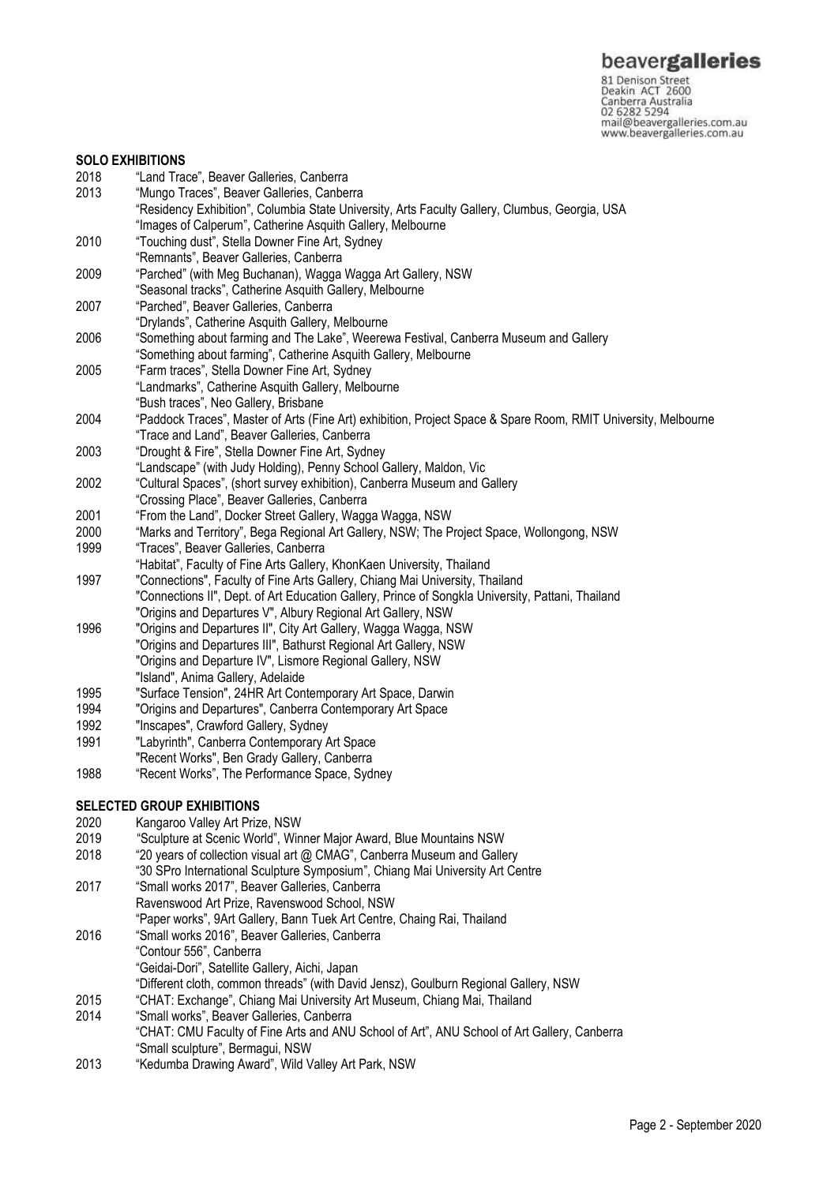#### **SOLO EXHIBITIONS**

- 
- 2018 "Land Trace", Beaver Galleries, Canberra "Mungo Traces", Beaver Galleries, Canberra "Residency Exhibition", Columbia State University, Arts Faculty Gallery, Clumbus, Georgia, USA "Images of Calperum", Catherine Asquith Gallery, Melbourne
- 2010 "Touching dust", Stella Downer Fine Art, Sydney
- "Remnants", Beaver Galleries, Canberra
- 2009 "Parched" (with Meg Buchanan), Wagga Wagga Art Gallery, NSW
- "Seasonal tracks", Catherine Asquith Gallery, Melbourne
- 2007 "Parched", Beaver Galleries, Canberra
- "Drylands", Catherine Asquith Gallery, Melbourne
- 2006 "Something about farming and The Lake", Weerewa Festival, Canberra Museum and Gallery
- "Something about farming", Catherine Asquith Gallery, Melbourne
- 2005 "Farm traces", Stella Downer Fine Art, Sydney "Landmarks", Catherine Asquith Gallery, Melbourne "Bush traces", Neo Gallery, Brisbane
- 2004 "Paddock Traces", Master of Arts (Fine Art) exhibition, Project Space & Spare Room, RMIT University, Melbourne "Trace and Land", Beaver Galleries, Canberra
- 2003 "Drought & Fire", Stella Downer Fine Art, Sydney
- "Landscape" (with Judy Holding), Penny School Gallery, Maldon, Vic
- 2002 "Cultural Spaces", (short survey exhibition), Canberra Museum and Gallery
- "Crossing Place", Beaver Galleries, Canberra
- 2001 "From the Land", Docker Street Gallery, Wagga Wagga, NSW
- 2000 "Marks and Territory", Bega Regional Art Gallery, NSW; The Project Space, Wollongong, NSW
- 1999 "Traces", Beaver Galleries, Canberra
- "Habitat", Faculty of Fine Arts Gallery, KhonKaen University, Thailand
- 1997 "Connections", Faculty of Fine Arts Gallery, Chiang Mai University, Thailand
	- "Connections II", Dept. of Art Education Gallery, Prince of Songkla University, Pattani, Thailand
- "Origins and Departures V", Albury Regional Art Gallery, NSW
- 1996 "Origins and Departures II", City Art Gallery, Wagga Wagga, NSW "Origins and Departures III", Bathurst Regional Art Gallery, NSW "Origins and Departure IV", Lismore Regional Gallery, NSW "Island", Anima Gallery, Adelaide
- 1995 "Surface Tension", 24HR Art Contemporary Art Space, Darwin
- 1994 "Origins and Departures", Canberra Contemporary Art Space
- 1992 "Inscapes", Crawford Gallery, Sydney
- 1991 "Labyrinth", Canberra Contemporary Art Space
- "Recent Works", Ben Grady Gallery, Canberra
- 1988 "Recent Works", The Performance Space, Sydney

## **SELECTED GROUP EXHIBITIONS**

- 2020 Kangaroo Valley Art Prize, NSW
- 2019 "Sculpture at Scenic World", Winner Major Award, Blue Mountains NSW
- 2018 "20 years of collection visual art @ CMAG", Canberra Museum and Gallery
- "30 SPro International Sculpture Symposium", Chiang Mai University Art Centre
- 2017 "Small works 2017", Beaver Galleries, Canberra Ravenswood Art Prize, Ravenswood School, NSW "Paper works", 9Art Gallery, Bann Tuek Art Centre, Chaing Rai, Thailand 2016 "Small works 2016", Beaver Galleries, Canberra "Contour 556", Canberra
	- "Geidai-Dori", Satellite Gallery, Aichi, Japan
- "Different cloth, common threads" (with David Jensz), Goulburn Regional Gallery, NSW
- 2015 "CHAT: Exchange", Chiang Mai University Art Museum, Chiang Mai, Thailand
- 2014 "Small works", Beaver Galleries, Canberra
- "CHAT: CMU Faculty of Fine Arts and ANU School of Art", ANU School of Art Gallery, Canberra "Small sculpture", Bermagui, NSW
- 2013 "Kedumba Drawing Award", Wild Valley Art Park, NSW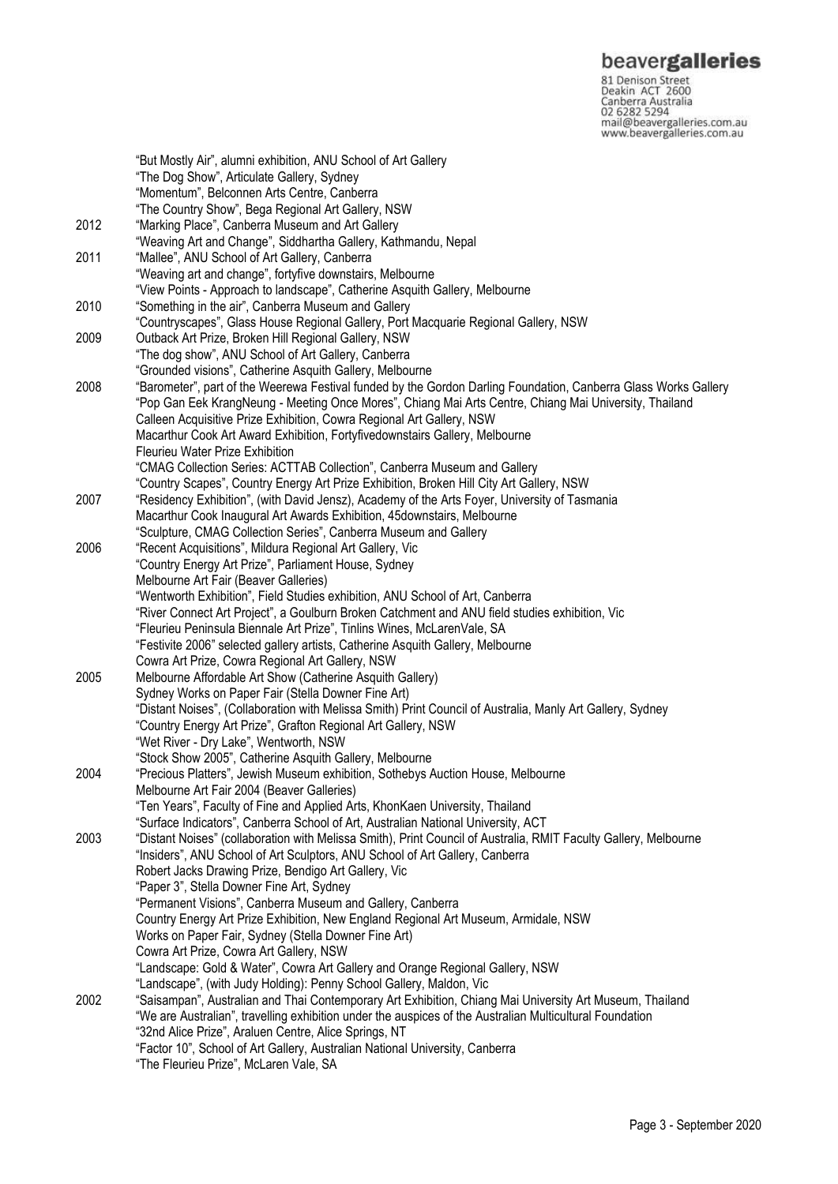**beavergalleries**<br> **S1 Denison Street**<br>
Deakin ACT 2600<br>
Canberra Australia<br>
02 6282 5294<br>
mail@beavergalleries.com.au<br>
www.beavergalleries.com.au

|      | "But Mostly Air", alumni exhibition, ANU School of Art Gallery<br>"The Dog Show", Articulate Gallery, Sydney                                                                    |
|------|---------------------------------------------------------------------------------------------------------------------------------------------------------------------------------|
|      | "Momentum", Belconnen Arts Centre, Canberra                                                                                                                                     |
|      | "The Country Show", Bega Regional Art Gallery, NSW                                                                                                                              |
| 2012 | "Marking Place", Canberra Museum and Art Gallery                                                                                                                                |
| 2011 | "Weaving Art and Change", Siddhartha Gallery, Kathmandu, Nepal<br>"Mallee", ANU School of Art Gallery, Canberra                                                                 |
|      | "Weaving art and change", fortyfive downstairs, Melbourne                                                                                                                       |
|      | "View Points - Approach to landscape", Catherine Asquith Gallery, Melbourne                                                                                                     |
| 2010 | "Something in the air", Canberra Museum and Gallery                                                                                                                             |
|      | "Countryscapes", Glass House Regional Gallery, Port Macquarie Regional Gallery, NSW                                                                                             |
| 2009 | Outback Art Prize, Broken Hill Regional Gallery, NSW                                                                                                                            |
|      | "The dog show", ANU School of Art Gallery, Canberra                                                                                                                             |
|      | "Grounded visions", Catherine Asquith Gallery, Melbourne                                                                                                                        |
| 2008 | "Barometer", part of the Weerewa Festival funded by the Gordon Darling Foundation, Canberra Glass Works Gallery                                                                 |
|      | "Pop Gan Eek KrangNeung - Meeting Once Mores", Chiang Mai Arts Centre, Chiang Mai University, Thailand                                                                          |
|      | Calleen Acquisitive Prize Exhibition, Cowra Regional Art Gallery, NSW<br>Macarthur Cook Art Award Exhibition, Fortyfivedownstairs Gallery, Melbourne                            |
|      | Fleurieu Water Prize Exhibition                                                                                                                                                 |
|      | "CMAG Collection Series: ACTTAB Collection", Canberra Museum and Gallery                                                                                                        |
|      | "Country Scapes", Country Energy Art Prize Exhibition, Broken Hill City Art Gallery, NSW                                                                                        |
| 2007 | "Residency Exhibition", (with David Jensz), Academy of the Arts Foyer, University of Tasmania                                                                                   |
|      | Macarthur Cook Inaugural Art Awards Exhibition, 45 downstairs, Melbourne                                                                                                        |
|      | "Sculpture, CMAG Collection Series", Canberra Museum and Gallery                                                                                                                |
| 2006 | "Recent Acquisitions", Mildura Regional Art Gallery, Vic                                                                                                                        |
|      | "Country Energy Art Prize", Parliament House, Sydney                                                                                                                            |
|      | Melbourne Art Fair (Beaver Galleries)                                                                                                                                           |
|      | "Wentworth Exhibition", Field Studies exhibition, ANU School of Art, Canberra<br>"River Connect Art Project", a Goulburn Broken Catchment and ANU field studies exhibition, Vic |
|      | "Fleurieu Peninsula Biennale Art Prize", Tinlins Wines, McLarenVale, SA                                                                                                         |
|      | "Festivite 2006" selected gallery artists, Catherine Asquith Gallery, Melbourne                                                                                                 |
|      | Cowra Art Prize, Cowra Regional Art Gallery, NSW                                                                                                                                |
| 2005 | Melbourne Affordable Art Show (Catherine Asquith Gallery)                                                                                                                       |
|      | Sydney Works on Paper Fair (Stella Downer Fine Art)                                                                                                                             |
|      | "Distant Noises", (Collaboration with Melissa Smith) Print Council of Australia, Manly Art Gallery, Sydney                                                                      |
|      | "Country Energy Art Prize", Grafton Regional Art Gallery, NSW                                                                                                                   |
|      | "Wet River - Dry Lake", Wentworth, NSW                                                                                                                                          |
|      | "Stock Show 2005", Catherine Asquith Gallery, Melbourne                                                                                                                         |
| 2004 | "Precious Platters", Jewish Museum exhibition, Sothebys Auction House, Melbourne<br>Melbourne Art Fair 2004 (Beaver Galleries)                                                  |
|      | "Ten Years", Faculty of Fine and Applied Arts, KhonKaen University, Thailand                                                                                                    |
|      | "Surface Indicators", Canberra School of Art, Australian National University, ACT                                                                                               |
| 2003 | "Distant Noises" (collaboration with Melissa Smith), Print Council of Australia, RMIT Faculty Gallery, Melbourne                                                                |
|      | "Insiders", ANU School of Art Sculptors, ANU School of Art Gallery, Canberra                                                                                                    |
|      | Robert Jacks Drawing Prize, Bendigo Art Gallery, Vic                                                                                                                            |
|      | "Paper 3", Stella Downer Fine Art, Sydney                                                                                                                                       |
|      | "Permanent Visions", Canberra Museum and Gallery, Canberra                                                                                                                      |
|      | Country Energy Art Prize Exhibition, New England Regional Art Museum, Armidale, NSW                                                                                             |
|      | Works on Paper Fair, Sydney (Stella Downer Fine Art)                                                                                                                            |
|      | Cowra Art Prize, Cowra Art Gallery, NSW<br>"Landscape: Gold & Water", Cowra Art Gallery and Orange Regional Gallery, NSW                                                        |
|      | "Landscape", (with Judy Holding): Penny School Gallery, Maldon, Vic                                                                                                             |
| 2002 | "Saisampan", Australian and Thai Contemporary Art Exhibition, Chiang Mai University Art Museum, Thailand                                                                        |
|      | "We are Australian", travelling exhibition under the auspices of the Australian Multicultural Foundation                                                                        |
|      | "32nd Alice Prize", Araluen Centre, Alice Springs, NT                                                                                                                           |
|      | "Factor 10", School of Art Gallery, Australian National University, Canberra                                                                                                    |
|      | "The Fleurieu Prize", McLaren Vale, SA                                                                                                                                          |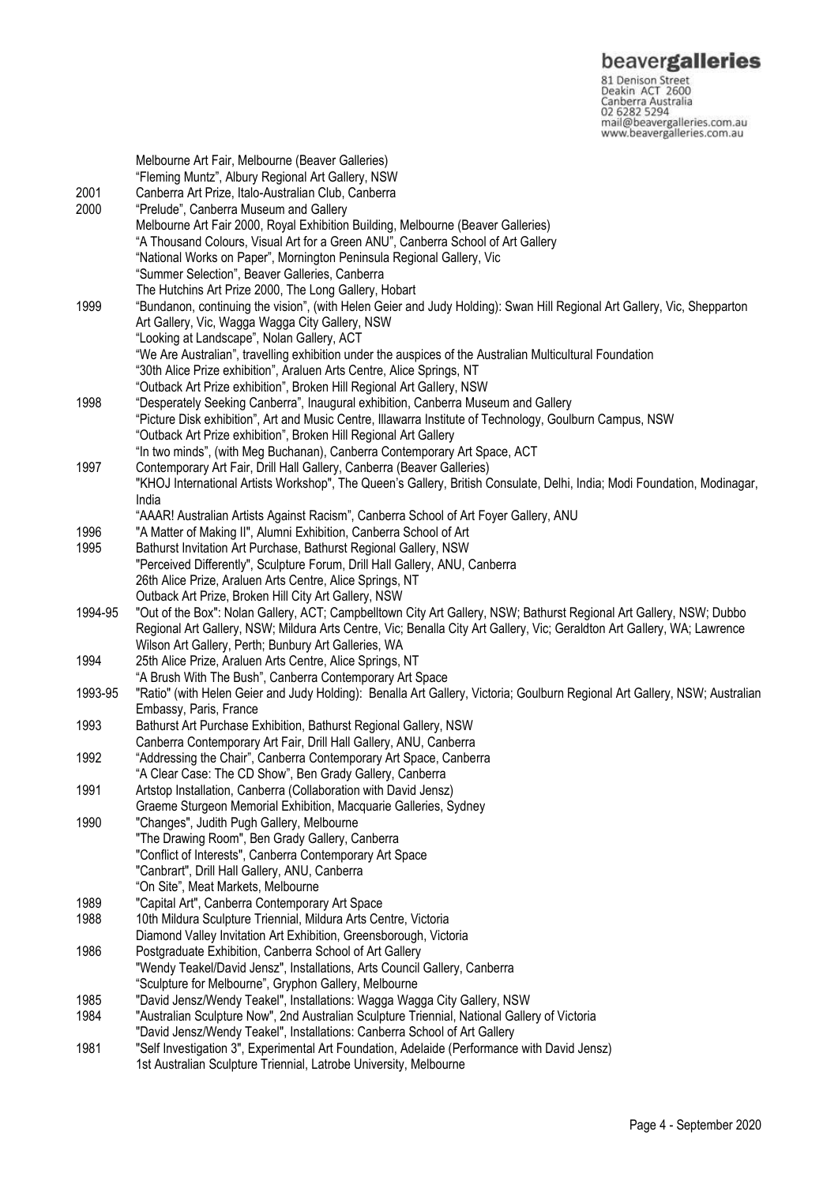**beavergalleries**<br> **S1 Denison Street**<br>
Deakin ACT 2600<br>
Canberra Australia<br>
02 6282 5294<br>
mail@beavergalleries.com.au<br>
www.beavergalleries.com.au

| 2001    | Melbourne Art Fair, Melbourne (Beaver Galleries)<br>"Fleming Muntz", Albury Regional Art Gallery, NSW<br>Canberra Art Prize, Italo-Australian Club, Canberra                                                                                                                            |
|---------|-----------------------------------------------------------------------------------------------------------------------------------------------------------------------------------------------------------------------------------------------------------------------------------------|
| 2000    | "Prelude", Canberra Museum and Gallery<br>Melbourne Art Fair 2000, Royal Exhibition Building, Melbourne (Beaver Galleries)<br>"A Thousand Colours, Visual Art for a Green ANU", Canberra School of Art Gallery<br>"National Works on Paper", Mornington Peninsula Regional Gallery, Vic |
|         | "Summer Selection", Beaver Galleries, Canberra                                                                                                                                                                                                                                          |
| 1999    | The Hutchins Art Prize 2000, The Long Gallery, Hobart<br>"Bundanon, continuing the vision", (with Helen Geier and Judy Holding): Swan Hill Regional Art Gallery, Vic, Shepparton<br>Art Gallery, Vic, Wagga Wagga City Gallery, NSW                                                     |
|         | "Looking at Landscape", Nolan Gallery, ACT<br>"We Are Australian", travelling exhibition under the auspices of the Australian Multicultural Foundation                                                                                                                                  |
|         | "30th Alice Prize exhibition", Araluen Arts Centre, Alice Springs, NT<br>"Outback Art Prize exhibition", Broken Hill Regional Art Gallery, NSW                                                                                                                                          |
| 1998    | "Desperately Seeking Canberra", Inaugural exhibition, Canberra Museum and Gallery<br>"Picture Disk exhibition", Art and Music Centre, Illawarra Institute of Technology, Goulburn Campus, NSW                                                                                           |
|         | "Outback Art Prize exhibition", Broken Hill Regional Art Gallery<br>"In two minds", (with Meg Buchanan), Canberra Contemporary Art Space, ACT                                                                                                                                           |
| 1997    | Contemporary Art Fair, Drill Hall Gallery, Canberra (Beaver Galleries)                                                                                                                                                                                                                  |
|         | "KHOJ International Artists Workshop", The Queen's Gallery, British Consulate, Delhi, India; Modi Foundation, Modinagar,<br>India                                                                                                                                                       |
|         | "AAAR! Australian Artists Against Racism", Canberra School of Art Foyer Gallery, ANU                                                                                                                                                                                                    |
| 1996    | "A Matter of Making II", Alumni Exhibition, Canberra School of Art                                                                                                                                                                                                                      |
| 1995    | Bathurst Invitation Art Purchase, Bathurst Regional Gallery, NSW                                                                                                                                                                                                                        |
|         | "Perceived Differently", Sculpture Forum, Drill Hall Gallery, ANU, Canberra                                                                                                                                                                                                             |
|         | 26th Alice Prize, Araluen Arts Centre, Alice Springs, NT<br>Outback Art Prize, Broken Hill City Art Gallery, NSW                                                                                                                                                                        |
| 1994-95 | "Out of the Box": Nolan Gallery, ACT; Campbelltown City Art Gallery, NSW; Bathurst Regional Art Gallery, NSW; Dubbo                                                                                                                                                                     |
|         | Regional Art Gallery, NSW; Mildura Arts Centre, Vic; Benalla City Art Gallery, Vic; Geraldton Art Gallery, WA; Lawrence                                                                                                                                                                 |
|         | Wilson Art Gallery, Perth; Bunbury Art Galleries, WA                                                                                                                                                                                                                                    |
| 1994    | 25th Alice Prize, Araluen Arts Centre, Alice Springs, NT                                                                                                                                                                                                                                |
|         | "A Brush With The Bush", Canberra Contemporary Art Space                                                                                                                                                                                                                                |
| 1993-95 | "Ratio" (with Helen Geier and Judy Holding): Benalla Art Gallery, Victoria; Goulburn Regional Art Gallery, NSW; Australian                                                                                                                                                              |
| 1993    | Embassy, Paris, France<br>Bathurst Art Purchase Exhibition, Bathurst Regional Gallery, NSW                                                                                                                                                                                              |
|         | Canberra Contemporary Art Fair, Drill Hall Gallery, ANU, Canberra                                                                                                                                                                                                                       |
| 1992    | "Addressing the Chair", Canberra Contemporary Art Space, Canberra                                                                                                                                                                                                                       |
|         | "A Clear Case: The CD Show", Ben Grady Gallery, Canberra                                                                                                                                                                                                                                |
| 1991    | Artstop Installation, Canberra (Collaboration with David Jensz)                                                                                                                                                                                                                         |
|         | Graeme Sturgeon Memorial Exhibition, Macquarie Galleries, Sydney                                                                                                                                                                                                                        |
| 1990    | "Changes", Judith Pugh Gallery, Melbourne                                                                                                                                                                                                                                               |
|         | "The Drawing Room", Ben Grady Gallery, Canberra                                                                                                                                                                                                                                         |
|         | "Conflict of Interests", Canberra Contemporary Art Space<br>"Canbrart", Drill Hall Gallery, ANU, Canberra                                                                                                                                                                               |
|         | "On Site", Meat Markets, Melbourne                                                                                                                                                                                                                                                      |
| 1989    | "Capital Art", Canberra Contemporary Art Space                                                                                                                                                                                                                                          |
| 1988    | 10th Mildura Sculpture Triennial, Mildura Arts Centre, Victoria                                                                                                                                                                                                                         |
|         | Diamond Valley Invitation Art Exhibition, Greensborough, Victoria                                                                                                                                                                                                                       |
| 1986    | Postgraduate Exhibition, Canberra School of Art Gallery                                                                                                                                                                                                                                 |
|         | "Wendy Teakel/David Jensz", Installations, Arts Council Gallery, Canberra                                                                                                                                                                                                               |
|         | "Sculpture for Melbourne", Gryphon Gallery, Melbourne                                                                                                                                                                                                                                   |
| 1985    | "David Jensz/Wendy Teakel", Installations: Wagga Wagga City Gallery, NSW                                                                                                                                                                                                                |
| 1984    | "Australian Sculpture Now", 2nd Australian Sculpture Triennial, National Gallery of Victoria<br>"David Jensz/Wendy Teakel", Installations: Canberra School of Art Gallery                                                                                                               |
| 1981    | "Self Investigation 3", Experimental Art Foundation, Adelaide (Performance with David Jensz)                                                                                                                                                                                            |
|         | 1st Australian Sculpture Triennial, Latrobe University, Melbourne                                                                                                                                                                                                                       |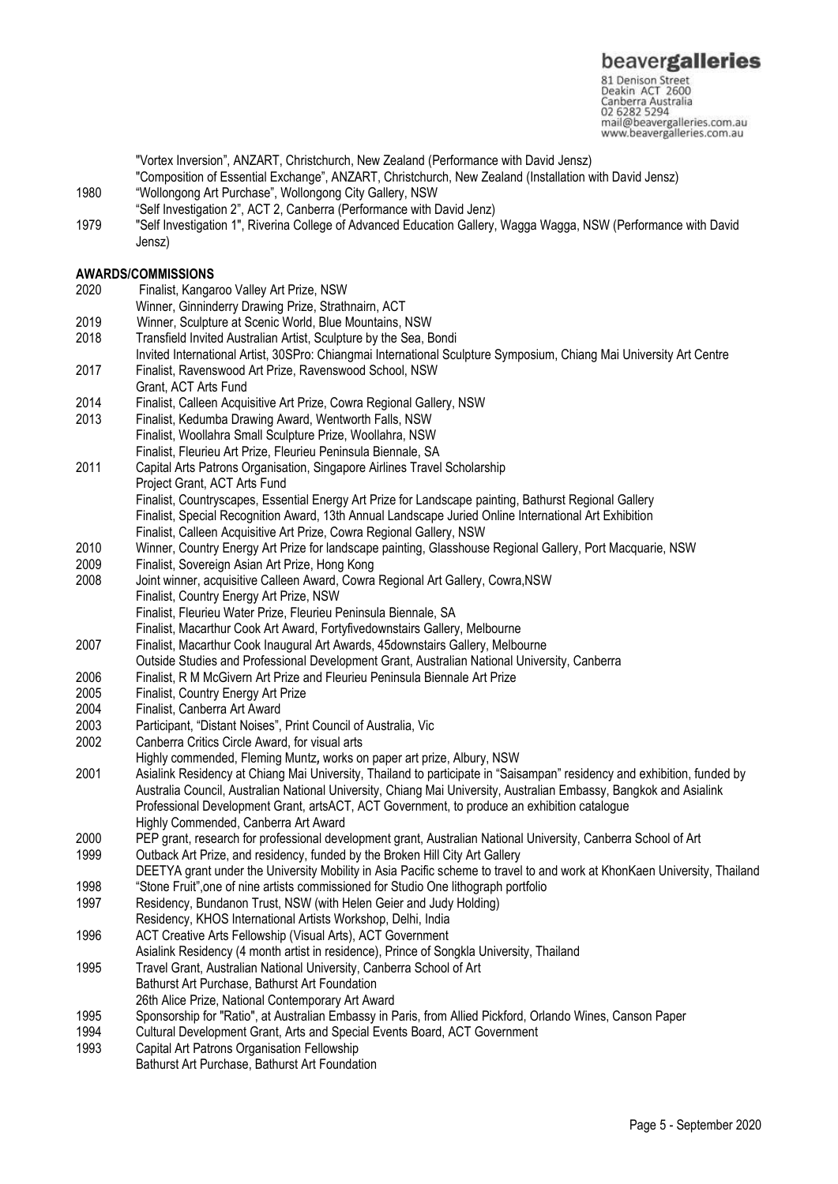"Vortex Inversion", ANZART, Christchurch, New Zealand (Performance with David Jensz)

- "Composition of Essential Exchange", ANZART, Christchurch, New Zealand (Installation with David Jensz)
- 1980 "Wollongong Art Purchase", Wollongong City Gallery, NSW
- "Self Investigation 2", ACT 2, Canberra (Performance with David Jenz)
- 1979 "Self Investigation 1", Riverina College of Advanced Education Gallery, Wagga Wagga, NSW (Performance with David Jensz)

#### **AWARDS/COMMISSIONS**

- 2020 Finalist, Kangaroo Valley Art Prize, NSW
- Winner, Ginninderry Drawing Prize, Strathnairn, ACT
- 2019 Winner, Sculpture at Scenic World, Blue Mountains, NSW
- 2018 Transfield Invited Australian Artist, Sculpture by the Sea, Bondi
- Invited International Artist, 30SPro: Chiangmai International Sculpture Symposium, Chiang Mai University Art Centre 2017 Finalist, Ravenswood Art Prize, Ravenswood School, NSW
- Grant, ACT Arts Fund
- 2014 Finalist, Calleen Acquisitive Art Prize, Cowra Regional Gallery, NSW
- 2013 Finalist, Kedumba Drawing Award, Wentworth Falls, NSW Finalist, Woollahra Small Sculpture Prize, Woollahra, NSW
- Finalist, Fleurieu Art Prize, Fleurieu Peninsula Biennale, SA
- 2011 Capital Arts Patrons Organisation, Singapore Airlines Travel Scholarship Project Grant, ACT Arts Fund
- 

Finalist, Countryscapes, Essential Energy Art Prize for Landscape painting, Bathurst Regional Gallery Finalist, Special Recognition Award, 13th Annual Landscape Juried Online International Art Exhibition

- Finalist, Calleen Acquisitive Art Prize, Cowra Regional Gallery, NSW
- 2010 Winner, Country Energy Art Prize for landscape painting, Glasshouse Regional Gallery, Port Macquarie, NSW
- 2009 Finalist, Sovereign Asian Art Prize, Hong Kong
- 2008 Joint winner, acquisitive Calleen Award, Cowra Regional Art Gallery, Cowra,NSW
- Finalist, Country Energy Art Prize, NSW
- Finalist, Fleurieu Water Prize, Fleurieu Peninsula Biennale, SA
- Finalist, Macarthur Cook Art Award, Fortyfivedownstairs Gallery, Melbourne
- 2007 Finalist, Macarthur Cook Inaugural Art Awards, 45downstairs Gallery, Melbourne
- Outside Studies and Professional Development Grant, Australian National University, Canberra
- 2006 Finalist, R M McGivern Art Prize and Fleurieu Peninsula Biennale Art Prize
- 2005 Finalist, Country Energy Art Prize
- 2004 Finalist, Canberra Art Award
- 2003 Participant, "Distant Noises", Print Council of Australia, Vic
- 2002 Canberra Critics Circle Award, for visual arts
- Highly commended, Fleming Muntz*,* works on paper art prize, Albury, NSW
- 2001 Asialink Residency at Chiang Mai University, Thailand to participate in "Saisampan" residency and exhibition, funded by Australia Council, Australian National University, Chiang Mai University, Australian Embassy, Bangkok and Asialink Professional Development Grant, artsACT, ACT Government, to produce an exhibition catalogue Highly Commended, Canberra Art Award
- 2000 PEP grant, research for professional development grant, Australian National University, Canberra School of Art
- 1999 Outback Art Prize, and residency, funded by the Broken Hill City Art Gallery
- DEETYA grant under the University Mobility in Asia Pacific scheme to travel to and work at KhonKaen University, Thailand
- 1998 "Stone Fruit",one of nine artists commissioned for Studio One lithograph portfolio
- 1997 Residency, Bundanon Trust, NSW (with Helen Geier and Judy Holding) Residency, KHOS International Artists Workshop, Delhi, India
- 1996 ACT Creative Arts Fellowship (Visual Arts), ACT Government
- Asialink Residency (4 month artist in residence), Prince of Songkla University, Thailand
- 1995 Travel Grant, Australian National University, Canberra School of Art Bathurst Art Purchase, Bathurst Art Foundation
- 26th Alice Prize, National Contemporary Art Award
- 1995 Sponsorship for "Ratio", at Australian Embassy in Paris, from Allied Pickford, Orlando Wines, Canson Paper
- 1994 Cultural Development Grant, Arts and Special Events Board, ACT Government
- 1993 Capital Art Patrons Organisation Fellowship
- Bathurst Art Purchase, Bathurst Art Foundation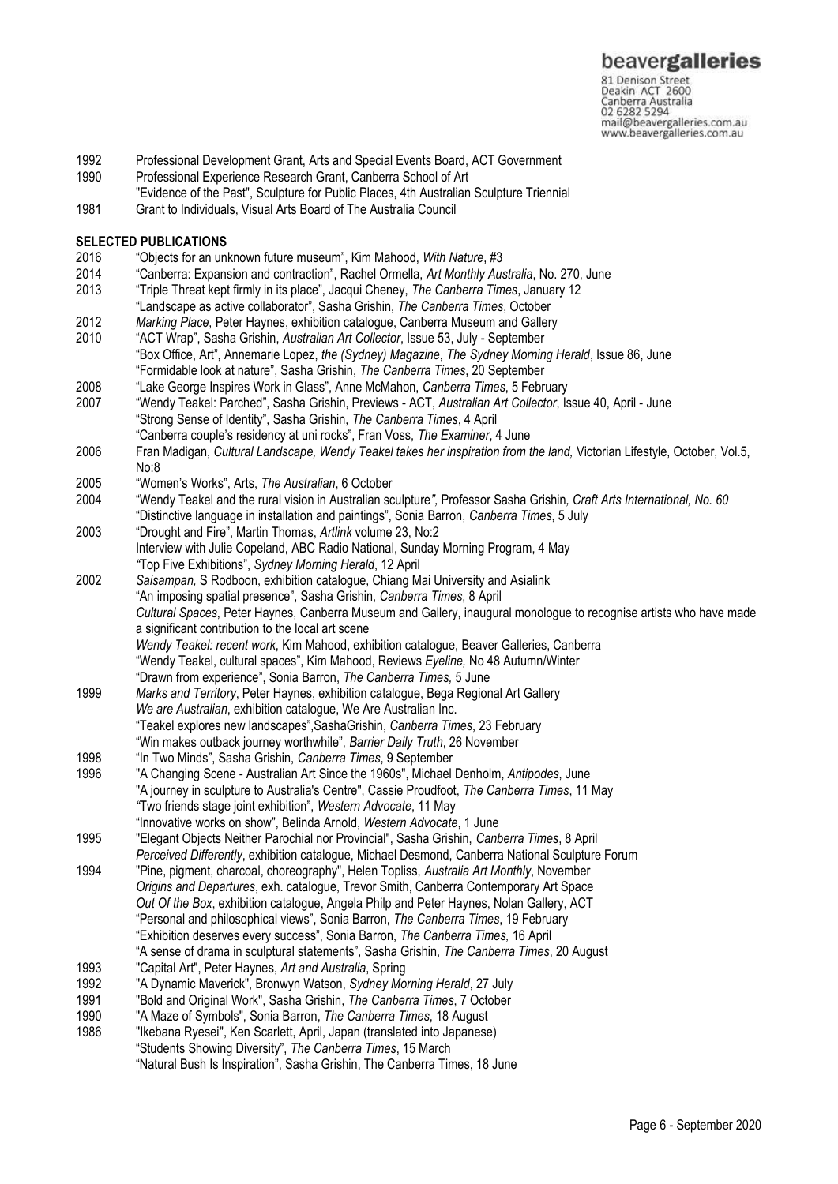- 1992 Professional Development Grant, Arts and Special Events Board, ACT Government
- 1990 Professional Experience Research Grant, Canberra School of Art
- "Evidence of the Past", Sculpture for Public Places, 4th Australian Sculpture Triennial
- 1981 Grant to Individuals, Visual Arts Board of The Australia Council

# **SELECTED PUBLICATIONS**<br>2016 <sup>"Objects for an uni-</sup>

- 2016 "Objects for an unknown future museum", Kim Mahood, *With Nature*, #3
- 2014 "Canberra: Expansion and contraction", Rachel Ormella, *Art Monthly Australia*, No. 270, June
- 2013 "Triple Threat kept firmly in its place", Jacqui Cheney, *The Canberra Times*, January 12 "Landscape as active collaborator", Sasha Grishin, *The Canberra Times*, October
- 2012 *Marking Place*, Peter Haynes, exhibition catalogue, Canberra Museum and Gallery
- 2010 "ACT Wrap", Sasha Grishin, *Australian Art Collector*, Issue 53, July September "Box Office, Art", Annemarie Lopez, *the (Sydney) Magazine*, *The Sydney Morning Herald*, Issue 86, June "Formidable look at nature", Sasha Grishin, *The Canberra Times*, 20 September
- 2008 "Lake George Inspires Work in Glass", Anne McMahon, *Canberra Times*, 5 February
- 2007 "Wendy Teakel: Parched", Sasha Grishin, Previews ACT, *Australian Art Collector*, Issue 40, April June "Strong Sense of Identity", Sasha Grishin, *The Canberra Times*, 4 April "Canberra couple's residency at uni rocks", Fran Voss, *The Examiner*, 4 June
- 2006 Fran Madigan, *Cultural Landscape, Wendy Teakel takes her inspiration from the land,* Victorian Lifestyle, October, Vol.5, No:8
- 2005 "Women's Works", Arts, *The Australian*, 6 October
- 2004 "Wendy Teakel and the rural vision in Australian sculpture*",* Professor Sasha Grishin*, Craft Arts International, No. 60* "Distinctive language in installation and paintings", Sonia Barron, *Canberra Times*, 5 July
- 2003 "Drought and Fire", Martin Thomas, *Artlink* volume 23, No:2 Interview with Julie Copeland, ABC Radio National, Sunday Morning Program, 4 May *"*Top Five Exhibitions", *Sydney Morning Herald*, 12 April
- 2002 *Saisampan,* S Rodboon, exhibition catalogue, Chiang Mai University and Asialink "An imposing spatial presence", Sasha Grishin, *Canberra Times*, 8 April *Cultural Spaces*, Peter Haynes, Canberra Museum and Gallery, inaugural monologue to recognise artists who have made a significant contribution to the local art scene *Wendy Teakel: recent work*, Kim Mahood, exhibition catalogue, Beaver Galleries, Canberra "Wendy Teakel, cultural spaces", Kim Mahood, Reviews *Eyeline,* No 48 Autumn/Winter
	- "Drawn from experience", Sonia Barron, *The Canberra Times,* 5 June
- 1999 *Marks and Territory*, Peter Haynes, exhibition catalogue, Bega Regional Art Gallery *We are Australian*, exhibition catalogue, We Are Australian Inc. "Teakel explores new landscapes",SashaGrishin, *Canberra Times*, 23 February "Win makes outback journey worthwhile", *Barrier Daily Truth*, 26 November
- 1998 "In Two Minds", Sasha Grishin, *Canberra Times*, 9 September
- 1996 "A Changing Scene Australian Art Since the 1960s", Michael Denholm, *Antipodes*, June "A journey in sculpture to Australia's Centre", Cassie Proudfoot, *The Canberra Times*, 11 May *"*Two friends stage joint exhibition", *Western Advocate*, 11 May "Innovative works on show", Belinda Arnold, *Western Advocate*, 1 June
- 1995 "Elegant Objects Neither Parochial nor Provincial", Sasha Grishin, *Canberra Times*, 8 April *Perceived Differently*, exhibition catalogue, Michael Desmond, Canberra National Sculpture Forum
- 1994 "Pine, pigment, charcoal, choreography", Helen Topliss, *Australia Art Monthly*, November *Origins and Departures*, exh. catalogue, Trevor Smith, Canberra Contemporary Art Space *Out Of the Box*, exhibition catalogue, Angela Philp and Peter Haynes, Nolan Gallery, ACT "Personal and philosophical views", Sonia Barron, *The Canberra Times*, 19 February "Exhibition deserves every success", Sonia Barron, *The Canberra Times,* 16 April "A sense of drama in sculptural statements", Sasha Grishin, *The Canberra Times*, 20 August
- 1993 "Capital Art", Peter Haynes, *Art and Australia*, Spring
- 1992 "A Dynamic Maverick", Bronwyn Watson, *Sydney Morning Herald*, 27 July
- 1991 "Bold and Original Work", Sasha Grishin, *The Canberra Times*, 7 October
- 1990 "A Maze of Symbols", Sonia Barron, *The Canberra Times*, 18 August
- 1986 "Ikebana Ryesei", Ken Scarlett, April, Japan (translated into Japanese) "Students Showing Diversity", *The Canberra Times*, 15 March

<sup>&</sup>quot;Natural Bush Is Inspiration", Sasha Grishin, The Canberra Times, 18 June